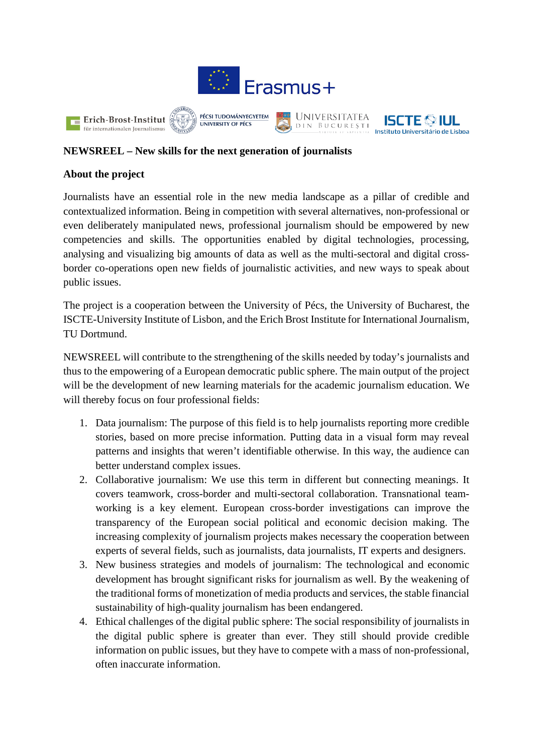



## **NEWSREEL – New skills for the next generation of journalists**

## **About the project**

Journalists have an essential role in the new media landscape as a pillar of credible and contextualized information. Being in competition with several alternatives, non-professional or even deliberately manipulated news, professional journalism should be empowered by new competencies and skills. The opportunities enabled by digital technologies, processing, analysing and visualizing big amounts of data as well as the multi-sectoral and digital crossborder co-operations open new fields of journalistic activities, and new ways to speak about public issues.

The project is a cooperation between the University of Pécs, the University of Bucharest, the ISCTE-University Institute of Lisbon, and the Erich Brost Institute for International Journalism, TU Dortmund.

NEWSREEL will contribute to the strengthening of the skills needed by today's journalists and thus to the empowering of a European democratic public sphere. The main output of the project will be the development of new learning materials for the academic journalism education. We will thereby focus on four professional fields:

- 1. Data journalism: The purpose of this field is to help journalists reporting more credible stories, based on more precise information. Putting data in a visual form may reveal patterns and insights that weren't identifiable otherwise. In this way, the audience can better understand complex issues.
- 2. Collaborative journalism: We use this term in different but connecting meanings. It covers teamwork, cross-border and multi-sectoral collaboration. Transnational teamworking is a key element. European cross-border investigations can improve the transparency of the European social political and economic decision making. The increasing complexity of journalism projects makes necessary the cooperation between experts of several fields, such as journalists, data journalists, IT experts and designers.
- 3. New business strategies and models of journalism: The technological and economic development has brought significant risks for journalism as well. By the weakening of the traditional forms of monetization of media products and services, the stable financial sustainability of high-quality journalism has been endangered.
- 4. Ethical challenges of the digital public sphere: The social responsibility of journalists in the digital public sphere is greater than ever. They still should provide credible information on public issues, but they have to compete with a mass of non-professional, often inaccurate information.